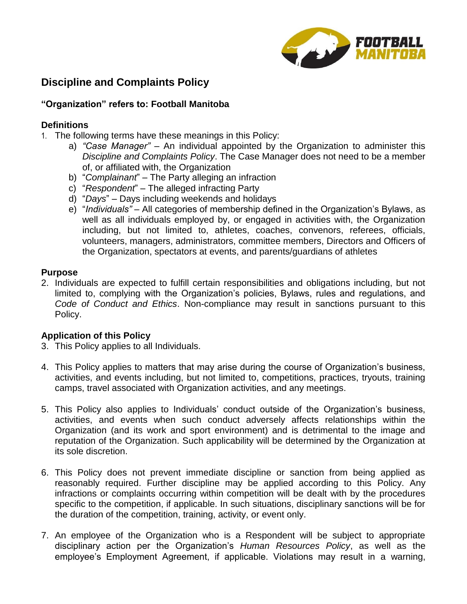

## **Discipline and Complaints Policy**

#### **"Organization" refers to: Football Manitoba**

#### **Definitions**

- 1. The following terms have these meanings in this Policy:
	- a) *"Case Manager"* An individual appointed by the Organization to administer this *Discipline and Complaints Policy*. The Case Manager does not need to be a member of, or affiliated with, the Organization
	- b) "*Complainant*" The Party alleging an infraction
	- c) "*Respondent*" The alleged infracting Party
	- d) "*Days*" Days including weekends and holidays
	- e) "*Individuals"* All categories of membership defined in the Organization's Bylaws, as well as all individuals employed by, or engaged in activities with, the Organization including, but not limited to, athletes, coaches, convenors, referees, officials, volunteers, managers, administrators, committee members, Directors and Officers of the Organization, spectators at events, and parents/guardians of athletes

#### **Purpose**

2. Individuals are expected to fulfill certain responsibilities and obligations including, but not limited to, complying with the Organization's policies, Bylaws, rules and regulations, and *Code of Conduct and Ethics*. Non-compliance may result in sanctions pursuant to this Policy.

#### **Application of this Policy**

- 3. This Policy applies to all Individuals.
- 4. This Policy applies to matters that may arise during the course of Organization's business, activities, and events including, but not limited to, competitions, practices, tryouts, training camps, travel associated with Organization activities, and any meetings.
- 5. This Policy also applies to Individuals' conduct outside of the Organization's business, activities, and events when such conduct adversely affects relationships within the Organization (and its work and sport environment) and is detrimental to the image and reputation of the Organization. Such applicability will be determined by the Organization at its sole discretion.
- 6. This Policy does not prevent immediate discipline or sanction from being applied as reasonably required. Further discipline may be applied according to this Policy. Any infractions or complaints occurring within competition will be dealt with by the procedures specific to the competition, if applicable. In such situations, disciplinary sanctions will be for the duration of the competition, training, activity, or event only.
- 7. An employee of the Organization who is a Respondent will be subject to appropriate disciplinary action per the Organization's *Human Resources Policy*, as well as the employee's Employment Agreement, if applicable. Violations may result in a warning,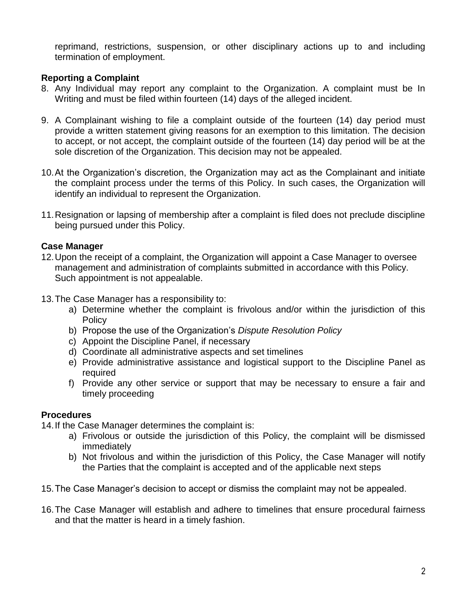reprimand, restrictions, suspension, or other disciplinary actions up to and including termination of employment.

## **Reporting a Complaint**

- 8. Any Individual may report any complaint to the Organization. A complaint must be In Writing and must be filed within fourteen (14) days of the alleged incident.
- 9. A Complainant wishing to file a complaint outside of the fourteen (14) day period must provide a written statement giving reasons for an exemption to this limitation. The decision to accept, or not accept, the complaint outside of the fourteen (14) day period will be at the sole discretion of the Organization. This decision may not be appealed.
- 10.At the Organization's discretion, the Organization may act as the Complainant and initiate the complaint process under the terms of this Policy. In such cases, the Organization will identify an individual to represent the Organization.
- 11.Resignation or lapsing of membership after a complaint is filed does not preclude discipline being pursued under this Policy.

#### **Case Manager**

- 12.Upon the receipt of a complaint, the Organization will appoint a Case Manager to oversee management and administration of complaints submitted in accordance with this Policy. Such appointment is not appealable.
- 13.The Case Manager has a responsibility to:
	- a) Determine whether the complaint is frivolous and/or within the jurisdiction of this **Policy**
	- b) Propose the use of the Organization's *Dispute Resolution Policy*
	- c) Appoint the Discipline Panel, if necessary
	- d) Coordinate all administrative aspects and set timelines
	- e) Provide administrative assistance and logistical support to the Discipline Panel as required
	- f) Provide any other service or support that may be necessary to ensure a fair and timely proceeding

## **Procedures**

14.If the Case Manager determines the complaint is:

- a) Frivolous or outside the jurisdiction of this Policy, the complaint will be dismissed immediately
- b) Not frivolous and within the jurisdiction of this Policy, the Case Manager will notify the Parties that the complaint is accepted and of the applicable next steps
- 15.The Case Manager's decision to accept or dismiss the complaint may not be appealed.
- 16.The Case Manager will establish and adhere to timelines that ensure procedural fairness and that the matter is heard in a timely fashion.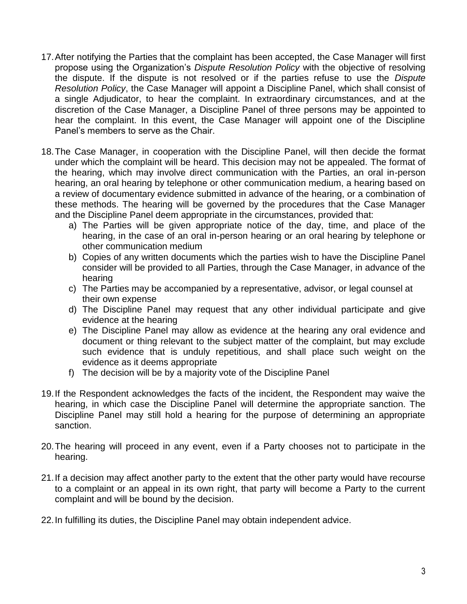- 17.After notifying the Parties that the complaint has been accepted, the Case Manager will first propose using the Organization's *Dispute Resolution Policy* with the objective of resolving the dispute. If the dispute is not resolved or if the parties refuse to use the *Dispute Resolution Policy*, the Case Manager will appoint a Discipline Panel, which shall consist of a single Adjudicator, to hear the complaint. In extraordinary circumstances, and at the discretion of the Case Manager, a Discipline Panel of three persons may be appointed to hear the complaint. In this event, the Case Manager will appoint one of the Discipline Panel's members to serve as the Chair.
- 18.The Case Manager, in cooperation with the Discipline Panel, will then decide the format under which the complaint will be heard. This decision may not be appealed. The format of the hearing, which may involve direct communication with the Parties, an oral in-person hearing, an oral hearing by telephone or other communication medium, a hearing based on a review of documentary evidence submitted in advance of the hearing, or a combination of these methods. The hearing will be governed by the procedures that the Case Manager and the Discipline Panel deem appropriate in the circumstances, provided that:
	- a) The Parties will be given appropriate notice of the day, time, and place of the hearing, in the case of an oral in-person hearing or an oral hearing by telephone or other communication medium
	- b) Copies of any written documents which the parties wish to have the Discipline Panel consider will be provided to all Parties, through the Case Manager, in advance of the hearing
	- c) The Parties may be accompanied by a representative, advisor, or legal counsel at their own expense
	- d) The Discipline Panel may request that any other individual participate and give evidence at the hearing
	- e) The Discipline Panel may allow as evidence at the hearing any oral evidence and document or thing relevant to the subject matter of the complaint, but may exclude such evidence that is unduly repetitious, and shall place such weight on the evidence as it deems appropriate
	- f) The decision will be by a majority vote of the Discipline Panel
- 19.If the Respondent acknowledges the facts of the incident, the Respondent may waive the hearing, in which case the Discipline Panel will determine the appropriate sanction. The Discipline Panel may still hold a hearing for the purpose of determining an appropriate sanction.
- 20.The hearing will proceed in any event, even if a Party chooses not to participate in the hearing.
- 21.If a decision may affect another party to the extent that the other party would have recourse to a complaint or an appeal in its own right, that party will become a Party to the current complaint and will be bound by the decision.
- 22.In fulfilling its duties, the Discipline Panel may obtain independent advice.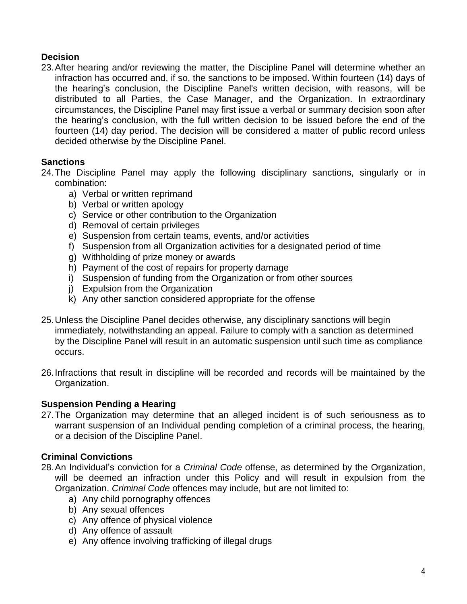## **Decision**

23.After hearing and/or reviewing the matter, the Discipline Panel will determine whether an infraction has occurred and, if so, the sanctions to be imposed. Within fourteen (14) days of the hearing's conclusion, the Discipline Panel's written decision, with reasons, will be distributed to all Parties, the Case Manager, and the Organization. In extraordinary circumstances, the Discipline Panel may first issue a verbal or summary decision soon after the hearing's conclusion, with the full written decision to be issued before the end of the fourteen (14) day period. The decision will be considered a matter of public record unless decided otherwise by the Discipline Panel.

## **Sanctions**

- 24.The Discipline Panel may apply the following disciplinary sanctions, singularly or in combination:
	- a) Verbal or written reprimand
	- b) Verbal or written apology
	- c) Service or other contribution to the Organization
	- d) Removal of certain privileges
	- e) Suspension from certain teams, events, and/or activities
	- f) Suspension from all Organization activities for a designated period of time
	- g) Withholding of prize money or awards
	- h) Payment of the cost of repairs for property damage
	- i) Suspension of funding from the Organization or from other sources
	- j) Expulsion from the Organization
	- k) Any other sanction considered appropriate for the offense
- 25.Unless the Discipline Panel decides otherwise, any disciplinary sanctions will begin immediately, notwithstanding an appeal. Failure to comply with a sanction as determined by the Discipline Panel will result in an automatic suspension until such time as compliance occurs.
- 26.Infractions that result in discipline will be recorded and records will be maintained by the Organization.

## **Suspension Pending a Hearing**

27.The Organization may determine that an alleged incident is of such seriousness as to warrant suspension of an Individual pending completion of a criminal process, the hearing, or a decision of the Discipline Panel.

## **Criminal Convictions**

- 28.An Individual's conviction for a *Criminal Code* offense, as determined by the Organization, will be deemed an infraction under this Policy and will result in expulsion from the Organization. *Criminal Code* offences may include, but are not limited to:
	- a) Any child pornography offences
	- b) Any sexual offences
	- c) Any offence of physical violence
	- d) Any offence of assault
	- e) Any offence involving trafficking of illegal drugs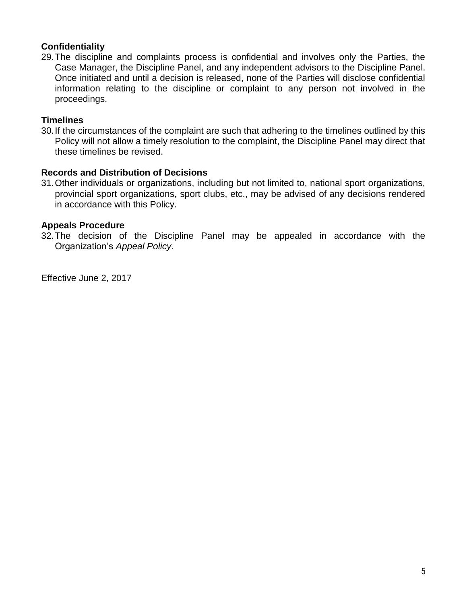## **Confidentiality**

29.The discipline and complaints process is confidential and involves only the Parties, the Case Manager, the Discipline Panel, and any independent advisors to the Discipline Panel. Once initiated and until a decision is released, none of the Parties will disclose confidential information relating to the discipline or complaint to any person not involved in the proceedings.

#### **Timelines**

30.If the circumstances of the complaint are such that adhering to the timelines outlined by this Policy will not allow a timely resolution to the complaint, the Discipline Panel may direct that these timelines be revised.

#### **Records and Distribution of Decisions**

31.Other individuals or organizations, including but not limited to, national sport organizations, provincial sport organizations, sport clubs, etc., may be advised of any decisions rendered in accordance with this Policy.

#### **Appeals Procedure**

32.The decision of the Discipline Panel may be appealed in accordance with the Organization's *Appeal Policy*.

Effective June 2, 2017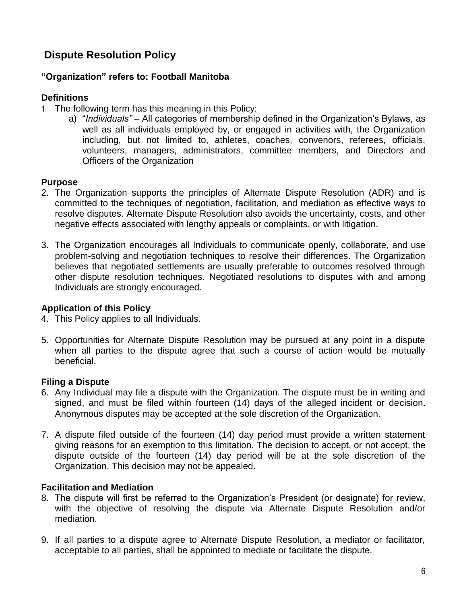# **Dispute Resolution Policy**

## **"Organization" refers to: Football Manitoba**

#### **Definitions**

- 1. The following term has this meaning in this Policy:
	- a) "*Individuals"* All categories of membership defined in the Organization's Bylaws, as well as all individuals employed by, or engaged in activities with, the Organization including, but not limited to, athletes, coaches, convenors, referees, officials, volunteers, managers, administrators, committee members, and Directors and Officers of the Organization

#### **Purpose**

- 2. The Organization supports the principles of Alternate Dispute Resolution (ADR) and is committed to the techniques of negotiation, facilitation, and mediation as effective ways to resolve disputes. Alternate Dispute Resolution also avoids the uncertainty, costs, and other negative effects associated with lengthy appeals or complaints, or with litigation.
- 3. The Organization encourages all Individuals to communicate openly, collaborate, and use problem-solving and negotiation techniques to resolve their differences. The Organization believes that negotiated settlements are usually preferable to outcomes resolved through other dispute resolution techniques. Negotiated resolutions to disputes with and among Individuals are strongly encouraged.

#### **Application of this Policy**

- 4. This Policy applies to all Individuals.
- 5. Opportunities for Alternate Dispute Resolution may be pursued at any point in a dispute when all parties to the dispute agree that such a course of action would be mutually beneficial.

#### **Filing a Dispute**

- 6. Any Individual may file a dispute with the Organization. The dispute must be in writing and signed, and must be filed within fourteen (14) days of the alleged incident or decision. Anonymous disputes may be accepted at the sole discretion of the Organization.
- 7. A dispute filed outside of the fourteen (14) day period must provide a written statement giving reasons for an exemption to this limitation. The decision to accept, or not accept, the dispute outside of the fourteen (14) day period will be at the sole discretion of the Organization. This decision may not be appealed.

#### **Facilitation and Mediation**

- 8. The dispute will first be referred to the Organization's President (or designate) for review, with the objective of resolving the dispute via Alternate Dispute Resolution and/or mediation.
- 9. If all parties to a dispute agree to Alternate Dispute Resolution, a mediator or facilitator, acceptable to all parties, shall be appointed to mediate or facilitate the dispute.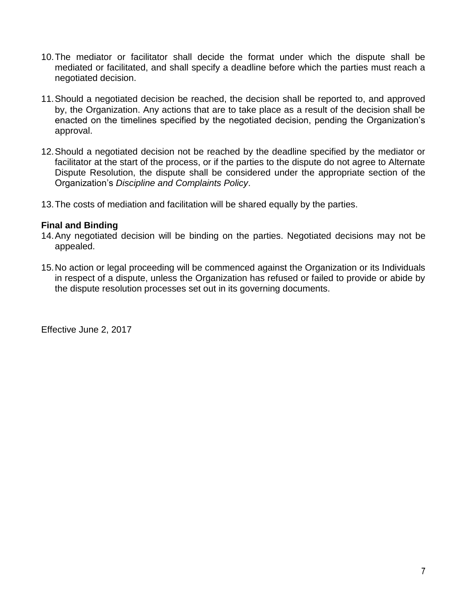- 10.The mediator or facilitator shall decide the format under which the dispute shall be mediated or facilitated, and shall specify a deadline before which the parties must reach a negotiated decision.
- 11.Should a negotiated decision be reached, the decision shall be reported to, and approved by, the Organization. Any actions that are to take place as a result of the decision shall be enacted on the timelines specified by the negotiated decision, pending the Organization's approval.
- 12.Should a negotiated decision not be reached by the deadline specified by the mediator or facilitator at the start of the process, or if the parties to the dispute do not agree to Alternate Dispute Resolution, the dispute shall be considered under the appropriate section of the Organization's *Discipline and Complaints Policy*.
- 13.The costs of mediation and facilitation will be shared equally by the parties.

## **Final and Binding**

- 14.Any negotiated decision will be binding on the parties. Negotiated decisions may not be appealed.
- 15.No action or legal proceeding will be commenced against the Organization or its Individuals in respect of a dispute, unless the Organization has refused or failed to provide or abide by the dispute resolution processes set out in its governing documents.

Effective June 2, 2017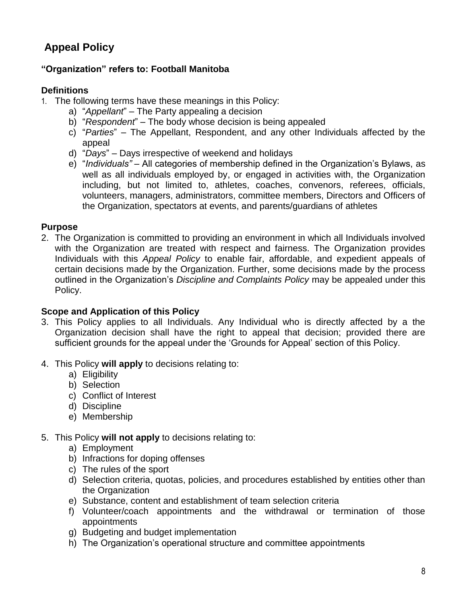# **Appeal Policy**

## **"Organization" refers to: Football Manitoba**

## **Definitions**

- 1. The following terms have these meanings in this Policy:
	- a) "*Appellant*" The Party appealing a decision
	- b) "*Respondent*" The body whose decision is being appealed
	- c) "*Parties*" The Appellant, Respondent, and any other Individuals affected by the appeal
	- d) "*Days*" Days irrespective of weekend and holidays
	- e) "*Individuals"* All categories of membership defined in the Organization's Bylaws, as well as all individuals employed by, or engaged in activities with, the Organization including, but not limited to, athletes, coaches, convenors, referees, officials, volunteers, managers, administrators, committee members, Directors and Officers of the Organization, spectators at events, and parents/guardians of athletes

#### **Purpose**

2. The Organization is committed to providing an environment in which all Individuals involved with the Organization are treated with respect and fairness. The Organization provides Individuals with this *Appeal Policy* to enable fair, affordable, and expedient appeals of certain decisions made by the Organization. Further, some decisions made by the process outlined in the Organization's *Discipline and Complaints Policy* may be appealed under this Policy.

#### **Scope and Application of this Policy**

- 3. This Policy applies to all Individuals. Any Individual who is directly affected by a the Organization decision shall have the right to appeal that decision; provided there are sufficient grounds for the appeal under the 'Grounds for Appeal' section of this Policy.
- 4. This Policy **will apply** to decisions relating to:
	- a) Eligibility
	- b) Selection
	- c) Conflict of Interest
	- d) Discipline
	- e) Membership
- 5. This Policy **will not apply** to decisions relating to:
	- a) Employment
	- b) Infractions for doping offenses
	- c) The rules of the sport
	- d) Selection criteria, quotas, policies, and procedures established by entities other than the Organization
	- e) Substance, content and establishment of team selection criteria
	- f) Volunteer/coach appointments and the withdrawal or termination of those appointments
	- g) Budgeting and budget implementation
	- h) The Organization's operational structure and committee appointments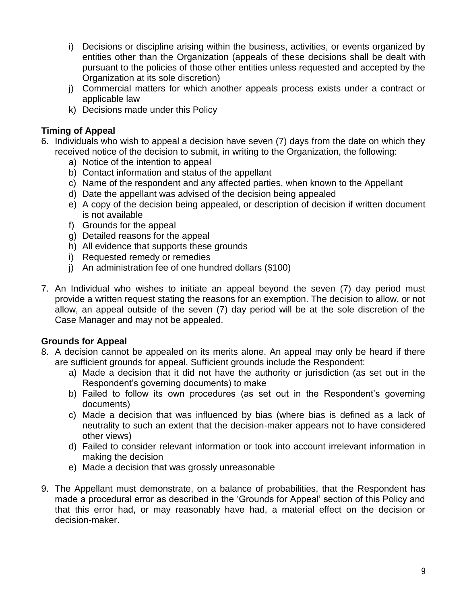- i) Decisions or discipline arising within the business, activities, or events organized by entities other than the Organization (appeals of these decisions shall be dealt with pursuant to the policies of those other entities unless requested and accepted by the Organization at its sole discretion)
- j) Commercial matters for which another appeals process exists under a contract or applicable law
- k) Decisions made under this Policy

## **Timing of Appeal**

- 6. Individuals who wish to appeal a decision have seven (7) days from the date on which they received notice of the decision to submit, in writing to the Organization, the following:
	- a) Notice of the intention to appeal
	- b) Contact information and status of the appellant
	- c) Name of the respondent and any affected parties, when known to the Appellant
	- d) Date the appellant was advised of the decision being appealed
	- e) A copy of the decision being appealed, or description of decision if written document is not available
	- f) Grounds for the appeal
	- g) Detailed reasons for the appeal
	- h) All evidence that supports these grounds
	- i) Requested remedy or remedies
	- j) An administration fee of one hundred dollars (\$100)
- 7. An Individual who wishes to initiate an appeal beyond the seven (7) day period must provide a written request stating the reasons for an exemption. The decision to allow, or not allow, an appeal outside of the seven (7) day period will be at the sole discretion of the Case Manager and may not be appealed.

## **Grounds for Appeal**

- 8. A decision cannot be appealed on its merits alone. An appeal may only be heard if there are sufficient grounds for appeal. Sufficient grounds include the Respondent:
	- a) Made a decision that it did not have the authority or jurisdiction (as set out in the Respondent's governing documents) to make
	- b) Failed to follow its own procedures (as set out in the Respondent's governing documents)
	- c) Made a decision that was influenced by bias (where bias is defined as a lack of neutrality to such an extent that the decision-maker appears not to have considered other views)
	- d) Failed to consider relevant information or took into account irrelevant information in making the decision
	- e) Made a decision that was grossly unreasonable
- 9. The Appellant must demonstrate, on a balance of probabilities, that the Respondent has made a procedural error as described in the 'Grounds for Appeal' section of this Policy and that this error had, or may reasonably have had, a material effect on the decision or decision-maker.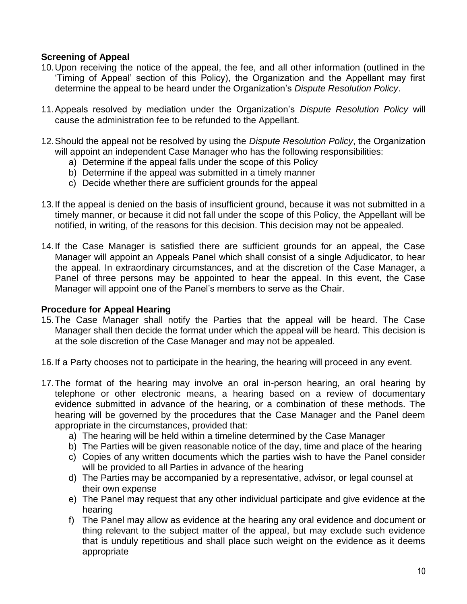## **Screening of Appeal**

- 10.Upon receiving the notice of the appeal, the fee, and all other information (outlined in the 'Timing of Appeal' section of this Policy), the Organization and the Appellant may first determine the appeal to be heard under the Organization's *Dispute Resolution Policy*.
- 11.Appeals resolved by mediation under the Organization's *Dispute Resolution Policy* will cause the administration fee to be refunded to the Appellant.
- 12.Should the appeal not be resolved by using the *Dispute Resolution Policy*, the Organization will appoint an independent Case Manager who has the following responsibilities:
	- a) Determine if the appeal falls under the scope of this Policy
	- b) Determine if the appeal was submitted in a timely manner
	- c) Decide whether there are sufficient grounds for the appeal
- 13.If the appeal is denied on the basis of insufficient ground, because it was not submitted in a timely manner, or because it did not fall under the scope of this Policy, the Appellant will be notified, in writing, of the reasons for this decision. This decision may not be appealed.
- 14.If the Case Manager is satisfied there are sufficient grounds for an appeal, the Case Manager will appoint an Appeals Panel which shall consist of a single Adjudicator, to hear the appeal. In extraordinary circumstances, and at the discretion of the Case Manager, a Panel of three persons may be appointed to hear the appeal. In this event, the Case Manager will appoint one of the Panel's members to serve as the Chair.

#### **Procedure for Appeal Hearing**

- 15.The Case Manager shall notify the Parties that the appeal will be heard. The Case Manager shall then decide the format under which the appeal will be heard. This decision is at the sole discretion of the Case Manager and may not be appealed.
- 16.If a Party chooses not to participate in the hearing, the hearing will proceed in any event.
- 17.The format of the hearing may involve an oral in-person hearing, an oral hearing by telephone or other electronic means, a hearing based on a review of documentary evidence submitted in advance of the hearing, or a combination of these methods. The hearing will be governed by the procedures that the Case Manager and the Panel deem appropriate in the circumstances, provided that:
	- a) The hearing will be held within a timeline determined by the Case Manager
	- b) The Parties will be given reasonable notice of the day, time and place of the hearing
	- c) Copies of any written documents which the parties wish to have the Panel consider will be provided to all Parties in advance of the hearing
	- d) The Parties may be accompanied by a representative, advisor, or legal counsel at their own expense
	- e) The Panel may request that any other individual participate and give evidence at the hearing
	- f) The Panel may allow as evidence at the hearing any oral evidence and document or thing relevant to the subject matter of the appeal, but may exclude such evidence that is unduly repetitious and shall place such weight on the evidence as it deems appropriate